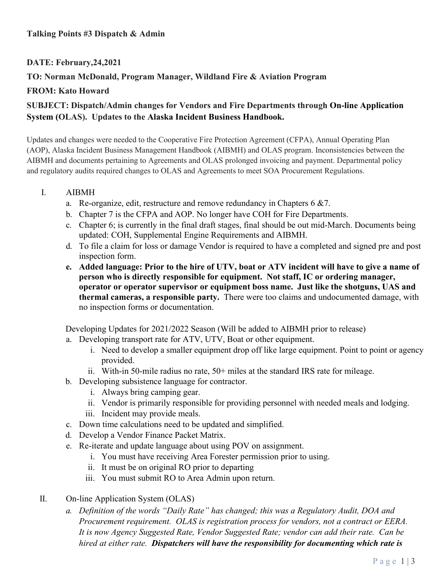#### **Talking Points #3 Dispatch & Admin**

# **DATE: February,24,2021**

## **TO: Norman McDonald, Program Manager, Wildland Fire & Aviation Program**

#### **FROM: Kato Howard**

# **SUBJECT: Dispatch/Admin changes for Vendors and Fire Departments through On-line Application System (OLAS). Updates to the Alaska Incident Business Handbook.**

Updates and changes were needed to the Cooperative Fire Protection Agreement (CFPA), Annual Operating Plan (AOP), Alaska Incident Business Management Handbook (AIBMH) and OLAS program. Inconsistencies between the AIBMH and documents pertaining to Agreements and OLAS prolonged invoicing and payment. Departmental policy and regulatory audits required changes to OLAS and Agreements to meet SOA Procurement Regulations.

#### I. AIBMH

- a. Re-organize, edit, restructure and remove redundancy in Chapters  $6 \& 7$ .
- b. Chapter 7 is the CFPA and AOP. No longer have COH for Fire Departments.
- c. Chapter 6; is currently in the final draft stages, final should be out mid-March. Documents being updated: COH, Supplemental Engine Requirements and AIBMH.
- d. To file a claim for loss or damage Vendor is required to have a completed and signed pre and post inspection form.
- **e. Added language: Prior to the hire of UTV, boat or ATV incident will have to give a name of person who is directly responsible for equipment. Not staff, IC or ordering manager, operator or operator supervisor or equipment boss name. Just like the shotguns, UAS and thermal cameras, a responsible party.** There were too claims and undocumented damage, with no inspection forms or documentation.

Developing Updates for 2021/2022 Season (Will be added to AIBMH prior to release)

- a. Developing transport rate for ATV, UTV, Boat or other equipment.
	- i. Need to develop a smaller equipment drop off like large equipment. Point to point or agency provided.
	- ii. With-in 50-mile radius no rate, 50+ miles at the standard IRS rate for mileage.
- b. Developing subsistence language for contractor.
	- i. Always bring camping gear.
	- ii. Vendor is primarily responsible for providing personnel with needed meals and lodging.
	- iii. Incident may provide meals.
- c. Down time calculations need to be updated and simplified.
- d. Develop a Vendor Finance Packet Matrix.
- e. Re-iterate and update language about using POV on assignment.
	- i. You must have receiving Area Forester permission prior to using.
	- ii. It must be on original RO prior to departing
	- iii. You must submit RO to Area Admin upon return.
- II. On-line Application System (OLAS)
	- *a. Definition of the words "Daily Rate" has changed; this was a Regulatory Audit, DOA and Procurement requirement. OLAS is registration process for vendors, not a contract or EERA. It is now Agency Suggested Rate, Vendor Suggested Rate; vendor can add their rate. Can be hired at either rate. Dispatchers will have the responsibility for documenting which rate is*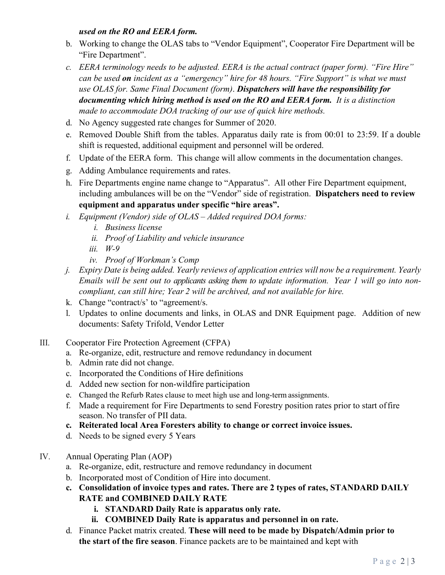## *used on the RO and EERA form.*

- b. Working to change the OLAS tabs to "Vendor Equipment", Cooperator Fire Department will be "Fire Department".
- *c. EERA terminology needs to be adjusted. EERA is the actual contract (paper form). "Fire Hire" can be used on incident as a "emergency" hire for 48 hours. "Fire Support" is what we must use OLAS for. Same Final Document (form)*. *Dispatchers will have the responsibility for documenting which hiring method is used on the RO and EERA form. It is a distinction made to accommodate DOA tracking of our use of quick hire methods.*
- d. No Agency suggested rate changes for Summer of 2020.
- e. Removed Double Shift from the tables. Apparatus daily rate is from 00:01 to 23:59. If a double shift is requested, additional equipment and personnel will be ordered.
- f. Update of the EERA form. This change will allow comments in the documentation changes.
- g. Adding Ambulance requirements and rates.
- h. Fire Departments engine name change to "Apparatus". All other Fire Department equipment, including ambulances will be on the "Vendor" side of registration. **Dispatchers need to review equipment and apparatus under specific "hire areas".**
- *i. Equipment (Vendor) side of OLAS Added required DOA forms:*
	- *i. Business license*
	- *ii. Proof of Liability and vehicle insurance*
	- *iii. W-9*
	- *iv. Proof of Workman's Comp*
- *j. Expiry Date is being added. Yearly reviews of application entries will now be a requirement. Yearly Emails will be sent out to applicants asking them to update information. Year 1 will go into noncompliant, can still hire; Year 2 will be archived, and not available for hire.*
- k. Change "contract/s' to "agreement/s.
- l. Updates to online documents and links, in OLAS and DNR Equipment page. Addition of new documents: Safety Trifold, Vendor Letter
- III. Cooperator Fire Protection Agreement (CFPA)
	- a. Re-organize, edit, restructure and remove redundancy in document
	- b. Admin rate did not change.
	- c. Incorporated the Conditions of Hire definitions
	- d. Added new section for non-wildfire participation
	- e. Changed the Refurb Rates clause to meet high use and long-term assignments.
	- f. Made a requirement for Fire Departments to send Forestry position rates prior to start of fire season. No transfer of PII data.
	- **c. Reiterated local Area Foresters ability to change or correct invoice issues.**
	- d. Needs to be signed every 5 Years
- IV. Annual Operating Plan (AOP)
	- a. Re-organize, edit, restructure and remove redundancy in document
	- b. Incorporated most of Condition of Hire into document.
	- **c. Consolidation of invoice types and rates. There are 2 types of rates, STANDARD DAILY RATE and COMBINED DAILY RATE**
		- **i. STANDARD Daily Rate is apparatus only rate.**
		- **ii. COMBINED Daily Rate is apparatus and personnel in on rate.**
	- d. Finance Packet matrix created. **These will need to be made by Dispatch/Admin prior to the start of the fire season**. Finance packets are to be maintained and kept with